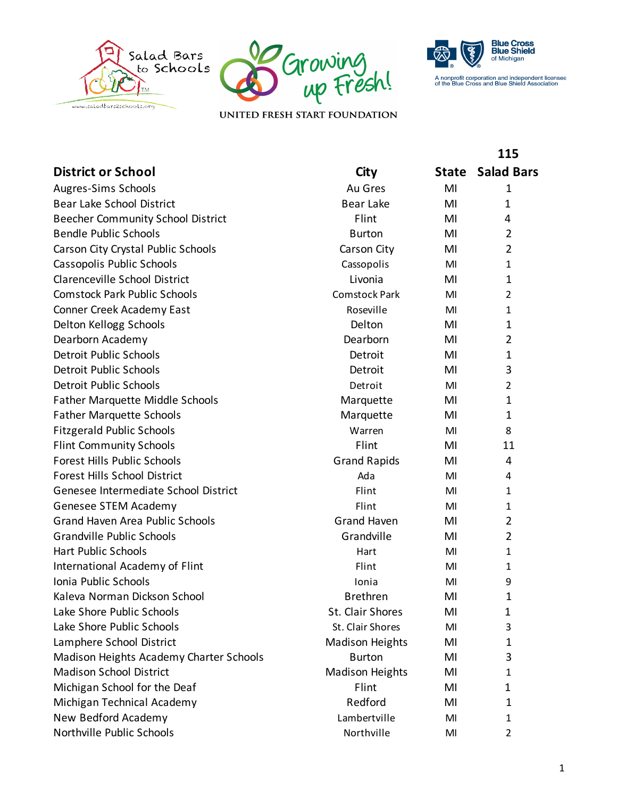





**115**

UNITED FRESH START FOUNDATION

| <b>District or School</b>               | City                   | <b>State</b> | <b>Salad Bars</b> |
|-----------------------------------------|------------------------|--------------|-------------------|
| Augres-Sims Schools                     | Au Gres                | MI           | 1                 |
| Bear Lake School District               | Bear Lake              | MI           | 1                 |
| Beecher Community School District       | Flint                  | MI           | 4                 |
| <b>Bendle Public Schools</b>            | <b>Burton</b>          | MI           | 2                 |
| Carson City Crystal Public Schools      | Carson City            | MI           | 2                 |
| Cassopolis Public Schools               | Cassopolis             | MI           | 1                 |
| Clarenceville School District           | Livonia                | MI           | 1                 |
| <b>Comstock Park Public Schools</b>     | <b>Comstock Park</b>   | MI           | 2                 |
| Conner Creek Academy East               | Roseville              | MI           | 1                 |
| Delton Kellogg Schools                  | Delton                 | MI           | 1                 |
| Dearborn Academy                        | Dearborn               | MI           | 2                 |
| <b>Detroit Public Schools</b>           | Detroit                | MI           | 1                 |
| <b>Detroit Public Schools</b>           | Detroit                | MI           | 3                 |
| <b>Detroit Public Schools</b>           | Detroit                | MI           | $\overline{2}$    |
| <b>Father Marquette Middle Schools</b>  | Marquette              | MI           | $\mathbf{1}$      |
| <b>Father Marquette Schools</b>         | Marquette              | MI           | 1                 |
| <b>Fitzgerald Public Schools</b>        | Warren                 | MI           | 8                 |
| <b>Flint Community Schools</b>          | Flint                  | MI           | 11                |
| Forest Hills Public Schools             | <b>Grand Rapids</b>    | MI           | 4                 |
| <b>Forest Hills School District</b>     | Ada                    | MI           | 4                 |
| Genesee Intermediate School District    | Flint                  | MI           | 1                 |
| Genesee STEM Academy                    | Flint                  | MI           | 1                 |
| <b>Grand Haven Area Public Schools</b>  | <b>Grand Haven</b>     | MI           | 2                 |
| <b>Grandville Public Schools</b>        | Grandville             | MI           | $\overline{2}$    |
| <b>Hart Public Schools</b>              | Hart                   | MI           | 1                 |
| International Academy of Flint          | Flint                  | MI           | 1                 |
| Ionia Public Schools                    | Ionia                  | MI           | 9                 |
| Kaleva Norman Dickson School            | <b>Brethren</b>        | MI           | 1                 |
| Lake Shore Public Schools               | St. Clair Shores       | MI           | 1                 |
| Lake Shore Public Schools               | St. Clair Shores       | MI           | 3                 |
| Lamphere School District                | <b>Madison Heights</b> | MI           | 1                 |
| Madison Heights Academy Charter Schools | <b>Burton</b>          | MI           | 3                 |
| <b>Madison School District</b>          | <b>Madison Heights</b> | MI           | 1                 |
| Michigan School for the Deaf            | Flint                  | MI           | $\mathbf 1$       |
| Michigan Technical Academy              | Redford                | MI           | 1                 |
| New Bedford Academy                     | Lambertville           | MI           | 1                 |
| Northville Public Schools               | Northville             | MI           | $\overline{2}$    |